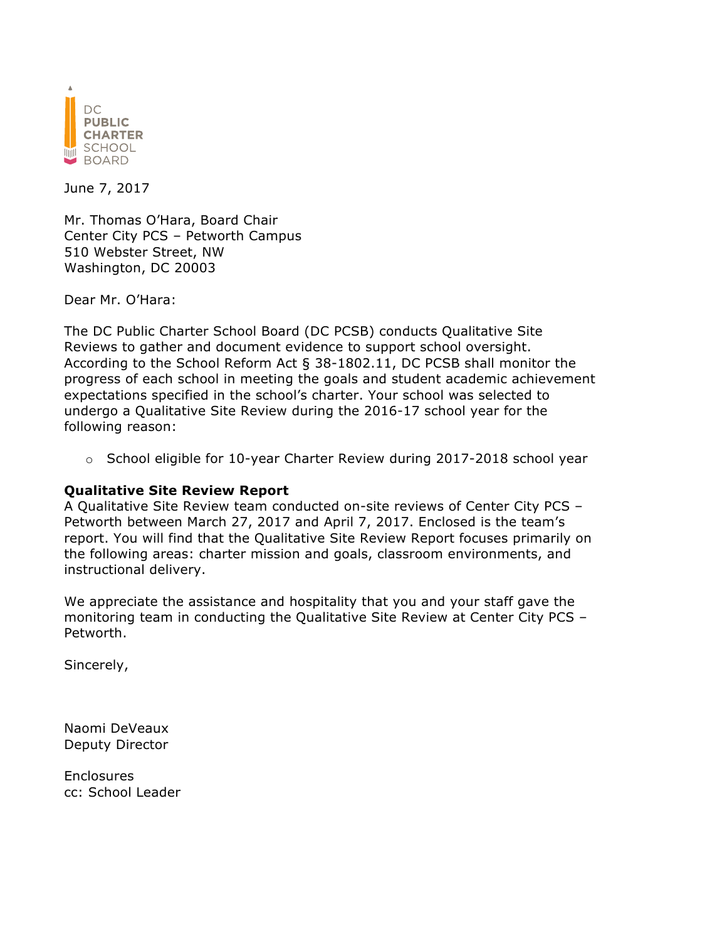

June 7, 2017

Mr. Thomas O'Hara, Board Chair Center City PCS – Petworth Campus 510 Webster Street, NW Washington, DC 20003

Dear Mr. O'Hara:

The DC Public Charter School Board (DC PCSB) conducts Qualitative Site Reviews to gather and document evidence to support school oversight. According to the School Reform Act § 38-1802.11, DC PCSB shall monitor the progress of each school in meeting the goals and student academic achievement expectations specified in the school's charter. Your school was selected to undergo a Qualitative Site Review during the 2016-17 school year for the following reason:

o School eligible for 10-year Charter Review during 2017-2018 school year

#### **Qualitative Site Review Report**

A Qualitative Site Review team conducted on-site reviews of Center City PCS – Petworth between March 27, 2017 and April 7, 2017. Enclosed is the team's report. You will find that the Qualitative Site Review Report focuses primarily on the following areas: charter mission and goals, classroom environments, and instructional delivery.

We appreciate the assistance and hospitality that you and your staff gave the monitoring team in conducting the Qualitative Site Review at Center City PCS – Petworth.

Sincerely,

Naomi DeVeaux Deputy Director

Enclosures cc: School Leader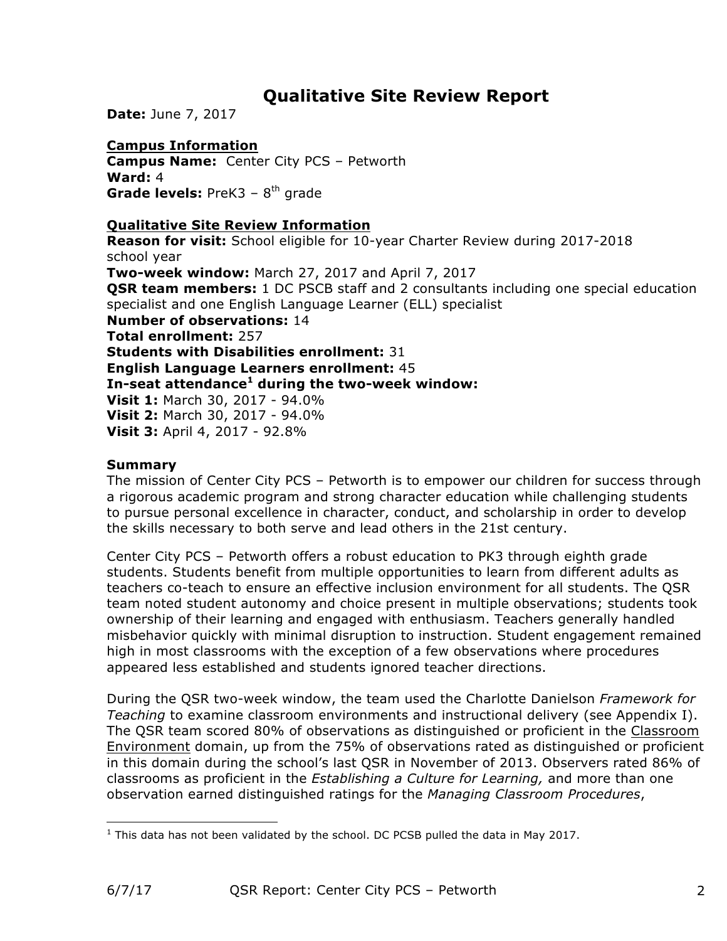# **Qualitative Site Review Report**

**Date:** June 7, 2017

### **Campus Information**

**Campus Name:** Center City PCS – Petworth **Ward:** 4 **Grade levels:** PreK3 - 8<sup>th</sup> grade

#### **Qualitative Site Review Information**

**Reason for visit:** School eligible for 10-year Charter Review during 2017-2018 school year **Two-week window:** March 27, 2017 and April 7, 2017 **OSR team members:** 1 DC PSCB staff and 2 consultants including one special education specialist and one English Language Learner (ELL) specialist **Number of observations:** 14 **Total enrollment:** 257 **Students with Disabilities enrollment:** 31 **English Language Learners enrollment:** 45 **In-seat attendance<sup>1</sup> during the two-week window: Visit 1:** March 30, 2017 - 94.0% **Visit 2:** March 30, 2017 - 94.0% **Visit 3:** April 4, 2017 - 92.8%

### **Summary**

The mission of Center City PCS – Petworth is to empower our children for success through a rigorous academic program and strong character education while challenging students to pursue personal excellence in character, conduct, and scholarship in order to develop the skills necessary to both serve and lead others in the 21st century.

Center City PCS – Petworth offers a robust education to PK3 through eighth grade students. Students benefit from multiple opportunities to learn from different adults as teachers co-teach to ensure an effective inclusion environment for all students. The QSR team noted student autonomy and choice present in multiple observations; students took ownership of their learning and engaged with enthusiasm. Teachers generally handled misbehavior quickly with minimal disruption to instruction. Student engagement remained high in most classrooms with the exception of a few observations where procedures appeared less established and students ignored teacher directions.

During the QSR two-week window, the team used the Charlotte Danielson *Framework for Teaching* to examine classroom environments and instructional delivery (see Appendix I). The QSR team scored 80% of observations as distinguished or proficient in the Classroom Environment domain, up from the 75% of observations rated as distinguished or proficient in this domain during the school's last QSR in November of 2013. Observers rated 86% of classrooms as proficient in the *Establishing a Culture for Learning,* and more than one observation earned distinguished ratings for the *Managing Classroom Procedures*,

 $1$  This data has not been validated by the school. DC PCSB pulled the data in May 2017.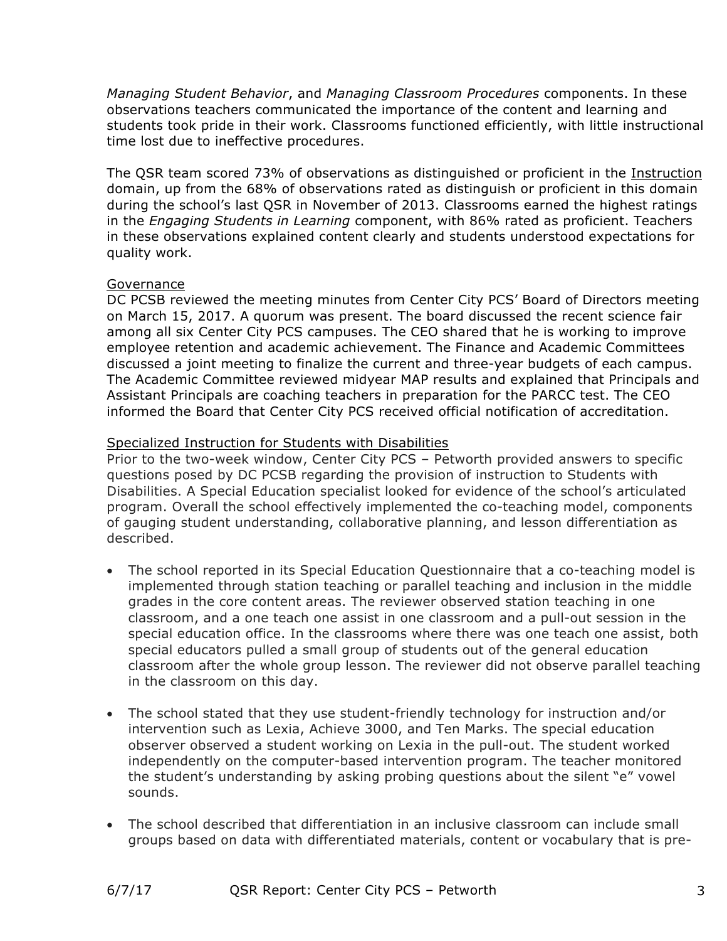*Managing Student Behavior*, and *Managing Classroom Procedures* components. In these observations teachers communicated the importance of the content and learning and students took pride in their work. Classrooms functioned efficiently, with little instructional time lost due to ineffective procedures.

The QSR team scored 73% of observations as distinguished or proficient in the Instruction domain, up from the 68% of observations rated as distinguish or proficient in this domain during the school's last QSR in November of 2013. Classrooms earned the highest ratings in the *Engaging Students in Learning* component, with 86% rated as proficient. Teachers in these observations explained content clearly and students understood expectations for quality work.

#### Governance

DC PCSB reviewed the meeting minutes from Center City PCS' Board of Directors meeting on March 15, 2017. A quorum was present. The board discussed the recent science fair among all six Center City PCS campuses. The CEO shared that he is working to improve employee retention and academic achievement. The Finance and Academic Committees discussed a joint meeting to finalize the current and three-year budgets of each campus. The Academic Committee reviewed midyear MAP results and explained that Principals and Assistant Principals are coaching teachers in preparation for the PARCC test. The CEO informed the Board that Center City PCS received official notification of accreditation.

#### Specialized Instruction for Students with Disabilities

Prior to the two-week window, Center City PCS – Petworth provided answers to specific questions posed by DC PCSB regarding the provision of instruction to Students with Disabilities. A Special Education specialist looked for evidence of the school's articulated program. Overall the school effectively implemented the co-teaching model, components of gauging student understanding, collaborative planning, and lesson differentiation as described.

- The school reported in its Special Education Questionnaire that a co-teaching model is implemented through station teaching or parallel teaching and inclusion in the middle grades in the core content areas. The reviewer observed station teaching in one classroom, and a one teach one assist in one classroom and a pull-out session in the special education office. In the classrooms where there was one teach one assist, both special educators pulled a small group of students out of the general education classroom after the whole group lesson. The reviewer did not observe parallel teaching in the classroom on this day.
- The school stated that they use student-friendly technology for instruction and/or intervention such as Lexia, Achieve 3000, and Ten Marks. The special education observer observed a student working on Lexia in the pull-out. The student worked independently on the computer-based intervention program. The teacher monitored the student's understanding by asking probing questions about the silent "e" vowel sounds.
- The school described that differentiation in an inclusive classroom can include small groups based on data with differentiated materials, content or vocabulary that is pre-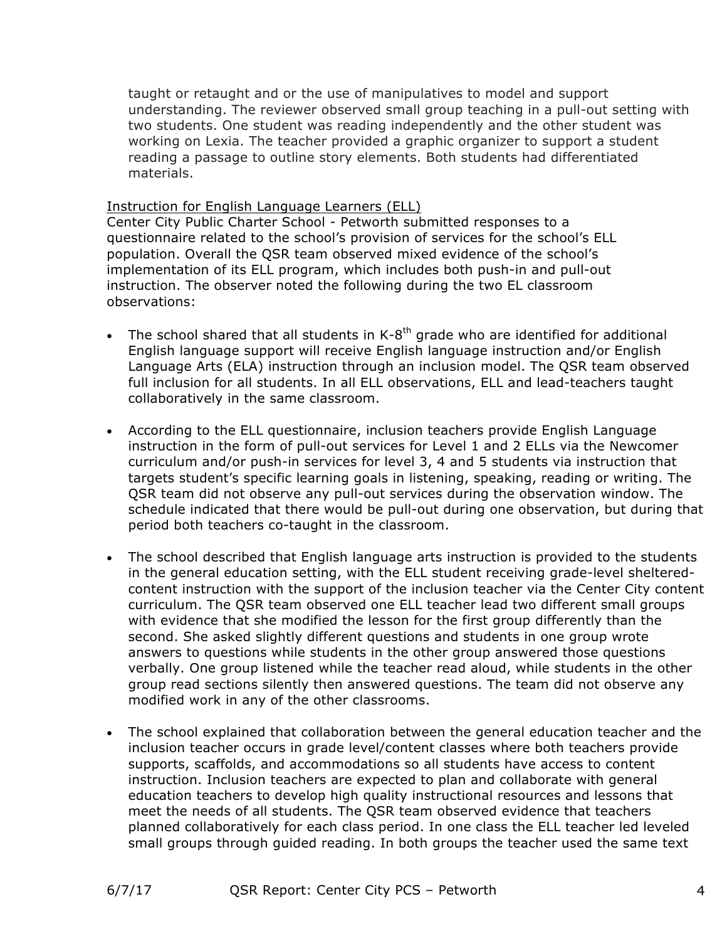taught or retaught and or the use of manipulatives to model and support understanding. The reviewer observed small group teaching in a pull-out setting with two students. One student was reading independently and the other student was working on Lexia. The teacher provided a graphic organizer to support a student reading a passage to outline story elements. Both students had differentiated materials.

#### Instruction for English Language Learners (ELL)

Center City Public Charter School - Petworth submitted responses to a questionnaire related to the school's provision of services for the school's ELL population. Overall the QSR team observed mixed evidence of the school's implementation of its ELL program, which includes both push-in and pull-out instruction. The observer noted the following during the two EL classroom observations:

- The school shared that all students in  $K-8^{th}$  grade who are identified for additional English language support will receive English language instruction and/or English Language Arts (ELA) instruction through an inclusion model. The QSR team observed full inclusion for all students. In all ELL observations, ELL and lead-teachers taught collaboratively in the same classroom.
- According to the ELL questionnaire, inclusion teachers provide English Language instruction in the form of pull-out services for Level 1 and 2 ELLs via the Newcomer curriculum and/or push-in services for level 3, 4 and 5 students via instruction that targets student's specific learning goals in listening, speaking, reading or writing. The QSR team did not observe any pull-out services during the observation window. The schedule indicated that there would be pull-out during one observation, but during that period both teachers co-taught in the classroom.
- The school described that English language arts instruction is provided to the students in the general education setting, with the ELL student receiving grade-level shelteredcontent instruction with the support of the inclusion teacher via the Center City content curriculum. The QSR team observed one ELL teacher lead two different small groups with evidence that she modified the lesson for the first group differently than the second. She asked slightly different questions and students in one group wrote answers to questions while students in the other group answered those questions verbally. One group listened while the teacher read aloud, while students in the other group read sections silently then answered questions. The team did not observe any modified work in any of the other classrooms.
- The school explained that collaboration between the general education teacher and the inclusion teacher occurs in grade level/content classes where both teachers provide supports, scaffolds, and accommodations so all students have access to content instruction. Inclusion teachers are expected to plan and collaborate with general education teachers to develop high quality instructional resources and lessons that meet the needs of all students. The QSR team observed evidence that teachers planned collaboratively for each class period. In one class the ELL teacher led leveled small groups through guided reading. In both groups the teacher used the same text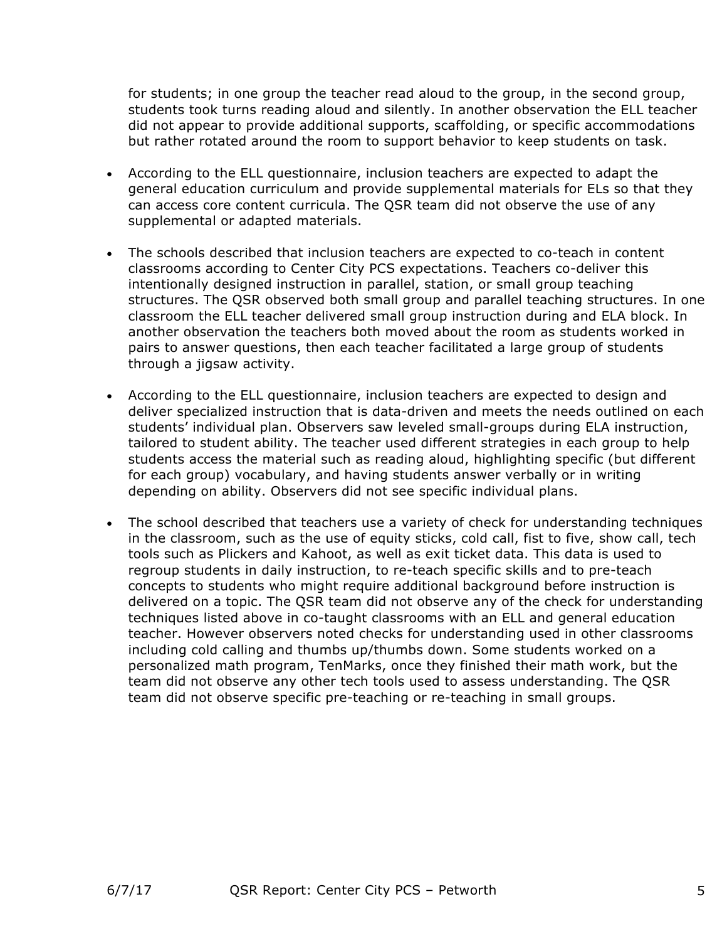for students; in one group the teacher read aloud to the group, in the second group, students took turns reading aloud and silently. In another observation the ELL teacher did not appear to provide additional supports, scaffolding, or specific accommodations but rather rotated around the room to support behavior to keep students on task.

- According to the ELL questionnaire, inclusion teachers are expected to adapt the general education curriculum and provide supplemental materials for ELs so that they can access core content curricula. The QSR team did not observe the use of any supplemental or adapted materials.
- The schools described that inclusion teachers are expected to co-teach in content classrooms according to Center City PCS expectations. Teachers co-deliver this intentionally designed instruction in parallel, station, or small group teaching structures. The QSR observed both small group and parallel teaching structures. In one classroom the ELL teacher delivered small group instruction during and ELA block. In another observation the teachers both moved about the room as students worked in pairs to answer questions, then each teacher facilitated a large group of students through a jigsaw activity.
- According to the ELL questionnaire, inclusion teachers are expected to design and deliver specialized instruction that is data-driven and meets the needs outlined on each students' individual plan. Observers saw leveled small-groups during ELA instruction, tailored to student ability. The teacher used different strategies in each group to help students access the material such as reading aloud, highlighting specific (but different for each group) vocabulary, and having students answer verbally or in writing depending on ability. Observers did not see specific individual plans.
- The school described that teachers use a variety of check for understanding techniques in the classroom, such as the use of equity sticks, cold call, fist to five, show call, tech tools such as Plickers and Kahoot, as well as exit ticket data. This data is used to regroup students in daily instruction, to re-teach specific skills and to pre-teach concepts to students who might require additional background before instruction is delivered on a topic. The QSR team did not observe any of the check for understanding techniques listed above in co-taught classrooms with an ELL and general education teacher. However observers noted checks for understanding used in other classrooms including cold calling and thumbs up/thumbs down. Some students worked on a personalized math program, TenMarks, once they finished their math work, but the team did not observe any other tech tools used to assess understanding. The QSR team did not observe specific pre-teaching or re-teaching in small groups.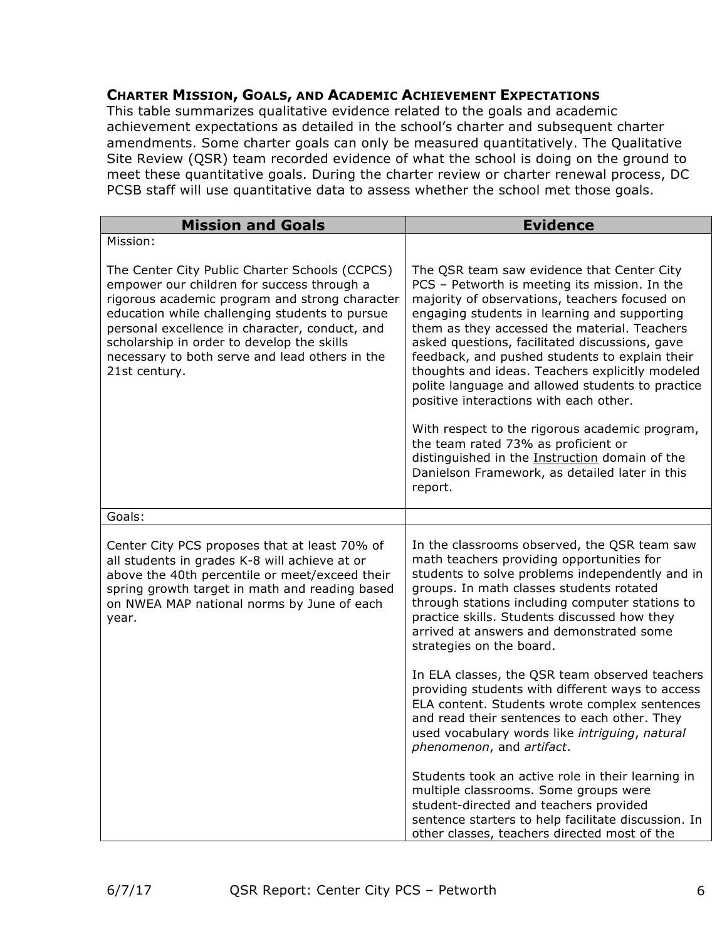#### **CHARTER MISSION, GOALS, AND ACADEMIC ACHIEVEMENT EXPECTATIONS**

This table summarizes qualitative evidence related to the goals and academic achievement expectations as detailed in the school's charter and subsequent charter amendments. Some charter goals can only be measured quantitatively. The Qualitative Site Review (QSR) team recorded evidence of what the school is doing on the ground to meet these quantitative goals. During the charter review or charter renewal process, DC PCSB staff will use quantitative data to assess whether the school met those goals.

| <b>Mission and Goals</b>                                                                                                                                                                                                                                                                                                                                            | <b>Evidence</b>                                                                                                                                                                                                                                                                                                                                                                                                                                                                                   |
|---------------------------------------------------------------------------------------------------------------------------------------------------------------------------------------------------------------------------------------------------------------------------------------------------------------------------------------------------------------------|---------------------------------------------------------------------------------------------------------------------------------------------------------------------------------------------------------------------------------------------------------------------------------------------------------------------------------------------------------------------------------------------------------------------------------------------------------------------------------------------------|
| Mission:                                                                                                                                                                                                                                                                                                                                                            |                                                                                                                                                                                                                                                                                                                                                                                                                                                                                                   |
| The Center City Public Charter Schools (CCPCS)<br>empower our children for success through a<br>rigorous academic program and strong character<br>education while challenging students to pursue<br>personal excellence in character, conduct, and<br>scholarship in order to develop the skills<br>necessary to both serve and lead others in the<br>21st century. | The QSR team saw evidence that Center City<br>PCS - Petworth is meeting its mission. In the<br>majority of observations, teachers focused on<br>engaging students in learning and supporting<br>them as they accessed the material. Teachers<br>asked questions, facilitated discussions, gave<br>feedback, and pushed students to explain their<br>thoughts and ideas. Teachers explicitly modeled<br>polite language and allowed students to practice<br>positive interactions with each other. |
|                                                                                                                                                                                                                                                                                                                                                                     | With respect to the rigorous academic program,<br>the team rated 73% as proficient or<br>distinguished in the Instruction domain of the<br>Danielson Framework, as detailed later in this<br>report.                                                                                                                                                                                                                                                                                              |
| Goals:                                                                                                                                                                                                                                                                                                                                                              |                                                                                                                                                                                                                                                                                                                                                                                                                                                                                                   |
| Center City PCS proposes that at least 70% of<br>all students in grades K-8 will achieve at or<br>above the 40th percentile or meet/exceed their<br>spring growth target in math and reading based<br>on NWEA MAP national norms by June of each<br>year.                                                                                                           | In the classrooms observed, the QSR team saw<br>math teachers providing opportunities for<br>students to solve problems independently and in<br>groups. In math classes students rotated<br>through stations including computer stations to<br>practice skills. Students discussed how they<br>arrived at answers and demonstrated some<br>strategies on the board.                                                                                                                               |
|                                                                                                                                                                                                                                                                                                                                                                     | In ELA classes, the QSR team observed teachers<br>providing students with different ways to access<br>ELA content. Students wrote complex sentences<br>and read their sentences to each other. They<br>used vocabulary words like intriguing, natural<br>phenomenon, and artifact.                                                                                                                                                                                                                |
|                                                                                                                                                                                                                                                                                                                                                                     | Students took an active role in their learning in<br>multiple classrooms. Some groups were<br>student-directed and teachers provided<br>sentence starters to help facilitate discussion. In<br>other classes, teachers directed most of the                                                                                                                                                                                                                                                       |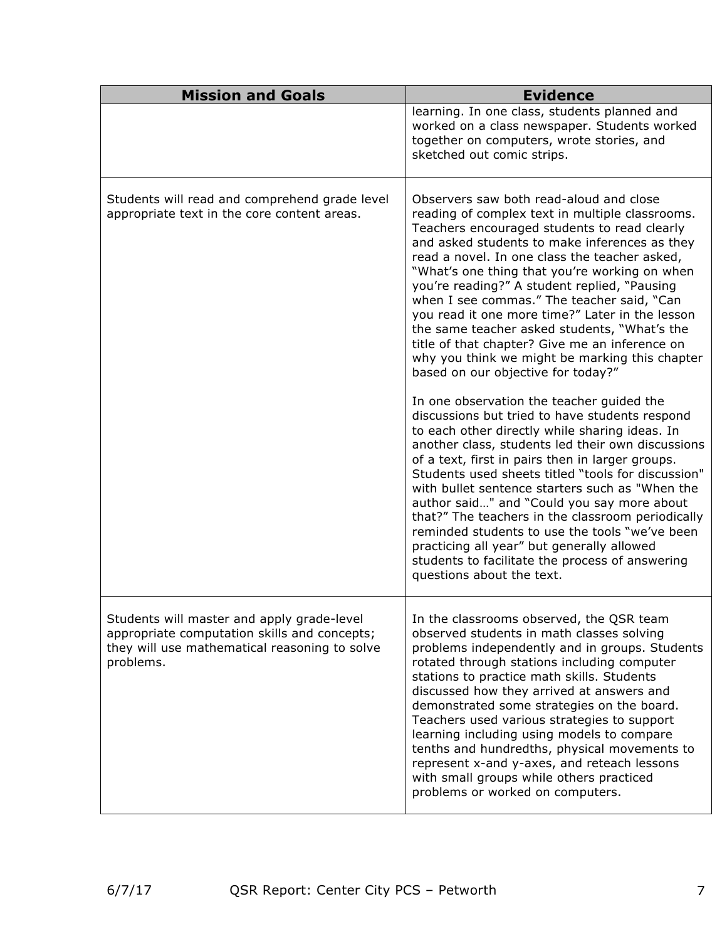| <b>Mission and Goals</b>                                                                                                                                 | <b>Evidence</b>                                                                                                                                                                                                                                                                                                                                                                                                                                                                                                                                                                                                                                                                                                                                                                                                                                                                                    |
|----------------------------------------------------------------------------------------------------------------------------------------------------------|----------------------------------------------------------------------------------------------------------------------------------------------------------------------------------------------------------------------------------------------------------------------------------------------------------------------------------------------------------------------------------------------------------------------------------------------------------------------------------------------------------------------------------------------------------------------------------------------------------------------------------------------------------------------------------------------------------------------------------------------------------------------------------------------------------------------------------------------------------------------------------------------------|
|                                                                                                                                                          | learning. In one class, students planned and<br>worked on a class newspaper. Students worked<br>together on computers, wrote stories, and<br>sketched out comic strips.                                                                                                                                                                                                                                                                                                                                                                                                                                                                                                                                                                                                                                                                                                                            |
| Students will read and comprehend grade level<br>appropriate text in the core content areas.                                                             | Observers saw both read-aloud and close<br>reading of complex text in multiple classrooms.<br>Teachers encouraged students to read clearly<br>and asked students to make inferences as they<br>read a novel. In one class the teacher asked,<br>"What's one thing that you're working on when<br>you're reading?" A student replied, "Pausing<br>when I see commas." The teacher said, "Can<br>you read it one more time?" Later in the lesson<br>the same teacher asked students, "What's the<br>title of that chapter? Give me an inference on<br>why you think we might be marking this chapter<br>based on our objective for today?"<br>In one observation the teacher quided the<br>discussions but tried to have students respond<br>to each other directly while sharing ideas. In<br>another class, students led their own discussions<br>of a text, first in pairs then in larger groups. |
|                                                                                                                                                          | Students used sheets titled "tools for discussion"<br>with bullet sentence starters such as "When the<br>author said" and "Could you say more about<br>that?" The teachers in the classroom periodically<br>reminded students to use the tools "we've been<br>practicing all year" but generally allowed<br>students to facilitate the process of answering<br>questions about the text.                                                                                                                                                                                                                                                                                                                                                                                                                                                                                                           |
| Students will master and apply grade-level<br>appropriate computation skills and concepts;<br>they will use mathematical reasoning to solve<br>problems. | In the classrooms observed, the QSR team<br>observed students in math classes solving<br>problems independently and in groups. Students<br>rotated through stations including computer<br>stations to practice math skills. Students<br>discussed how they arrived at answers and<br>demonstrated some strategies on the board.<br>Teachers used various strategies to support<br>learning including using models to compare<br>tenths and hundredths, physical movements to<br>represent x-and y-axes, and reteach lessons<br>with small groups while others practiced<br>problems or worked on computers.                                                                                                                                                                                                                                                                                        |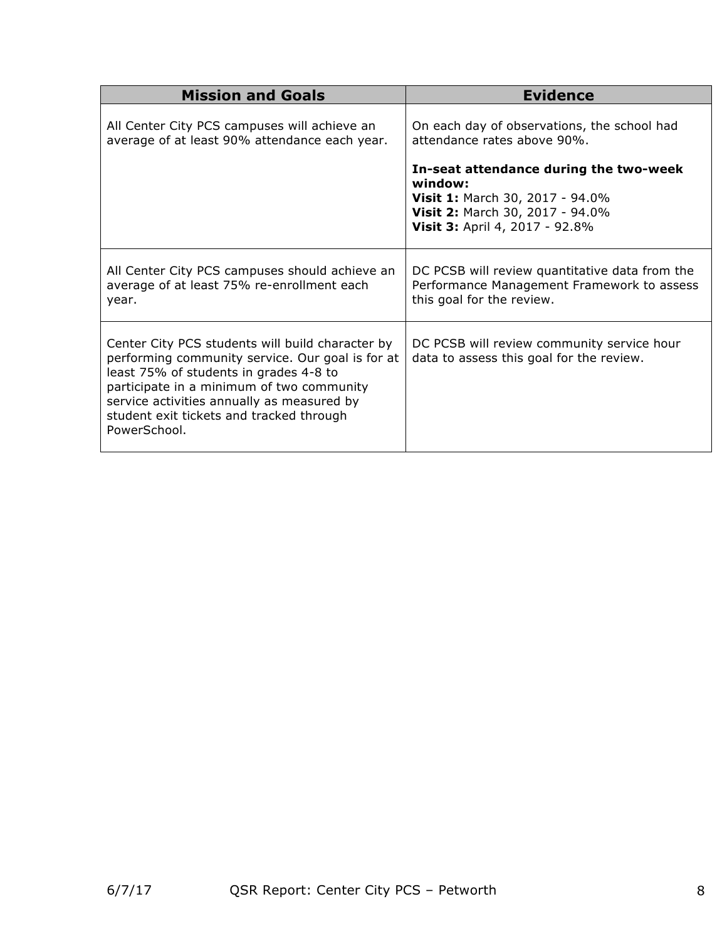| <b>Mission and Goals</b>                                                                                                                                                                                                                                                                              | <b>Evidence</b>                                                                                                                                                                                                                                |
|-------------------------------------------------------------------------------------------------------------------------------------------------------------------------------------------------------------------------------------------------------------------------------------------------------|------------------------------------------------------------------------------------------------------------------------------------------------------------------------------------------------------------------------------------------------|
| All Center City PCS campuses will achieve an<br>average of at least 90% attendance each year.                                                                                                                                                                                                         | On each day of observations, the school had<br>attendance rates above 90%.<br>In-seat attendance during the two-week<br>window:<br><b>Visit 1: March 30, 2017 - 94.0%</b><br>Visit 2: March 30, 2017 - 94.0%<br>Visit 3: April 4, 2017 - 92.8% |
| All Center City PCS campuses should achieve an<br>average of at least 75% re-enrollment each<br>year.                                                                                                                                                                                                 | DC PCSB will review quantitative data from the<br>Performance Management Framework to assess<br>this goal for the review.                                                                                                                      |
| Center City PCS students will build character by<br>performing community service. Our goal is for at<br>least 75% of students in grades 4-8 to<br>participate in a minimum of two community<br>service activities annually as measured by<br>student exit tickets and tracked through<br>PowerSchool. | DC PCSB will review community service hour<br>data to assess this goal for the review.                                                                                                                                                         |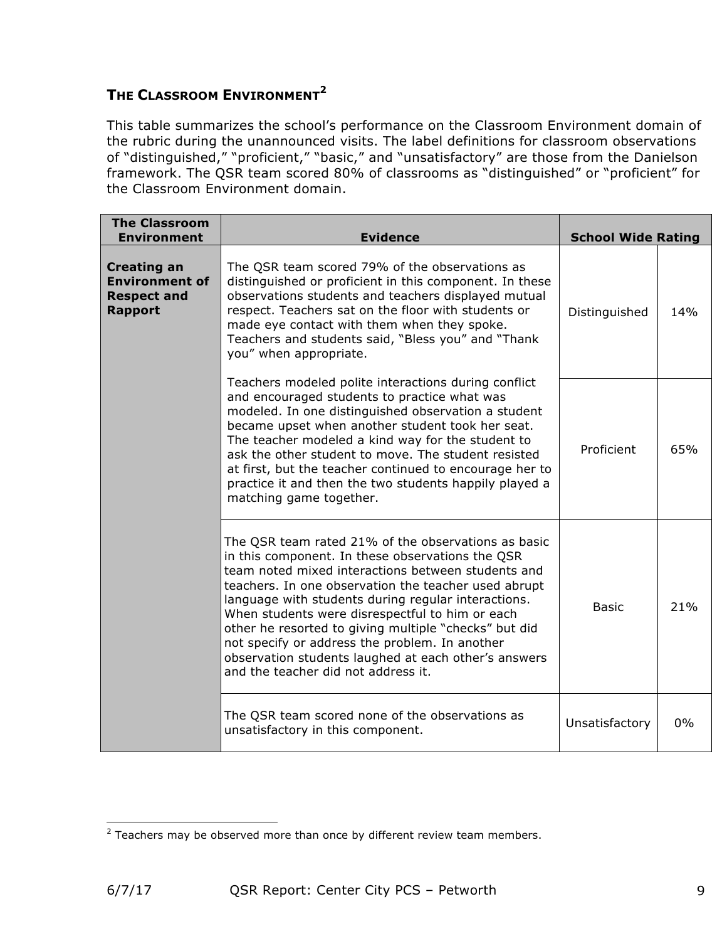## **THE CLASSROOM ENVIRONMENT<sup>2</sup>**

This table summarizes the school's performance on the Classroom Environment domain of the rubric during the unannounced visits. The label definitions for classroom observations of "distinguished," "proficient," "basic," and "unsatisfactory" are those from the Danielson framework. The QSR team scored 80% of classrooms as "distinguished" or "proficient" for the Classroom Environment domain.

| <b>The Classroom</b><br><b>Environment</b>                                          | <b>Evidence</b>                                                                                                                                                                                                                                                                                                                                                                                                                                                                                                                           | <b>School Wide Rating</b> |     |
|-------------------------------------------------------------------------------------|-------------------------------------------------------------------------------------------------------------------------------------------------------------------------------------------------------------------------------------------------------------------------------------------------------------------------------------------------------------------------------------------------------------------------------------------------------------------------------------------------------------------------------------------|---------------------------|-----|
| <b>Creating an</b><br><b>Environment of</b><br><b>Respect and</b><br><b>Rapport</b> | The QSR team scored 79% of the observations as<br>distinguished or proficient in this component. In these<br>observations students and teachers displayed mutual<br>respect. Teachers sat on the floor with students or<br>made eye contact with them when they spoke.<br>Teachers and students said, "Bless you" and "Thank<br>you" when appropriate.                                                                                                                                                                                    | Distinguished             | 14% |
|                                                                                     | Teachers modeled polite interactions during conflict<br>and encouraged students to practice what was<br>modeled. In one distinguished observation a student<br>became upset when another student took her seat.<br>The teacher modeled a kind way for the student to<br>ask the other student to move. The student resisted<br>at first, but the teacher continued to encourage her to<br>practice it and then the two students happily played a<br>matching game together.                                                               | Proficient                | 65% |
|                                                                                     | The QSR team rated 21% of the observations as basic<br>in this component. In these observations the QSR<br>team noted mixed interactions between students and<br>teachers. In one observation the teacher used abrupt<br>language with students during regular interactions.<br>When students were disrespectful to him or each<br>other he resorted to giving multiple "checks" but did<br>not specify or address the problem. In another<br>observation students laughed at each other's answers<br>and the teacher did not address it. | <b>Basic</b>              | 21% |
|                                                                                     | The QSR team scored none of the observations as<br>unsatisfactory in this component.                                                                                                                                                                                                                                                                                                                                                                                                                                                      | Unsatisfactory            | 0%  |

<sup>&</sup>lt;u> 1989 - Johann Stein, marwolaethau a bh</u>  $2$  Teachers may be observed more than once by different review team members.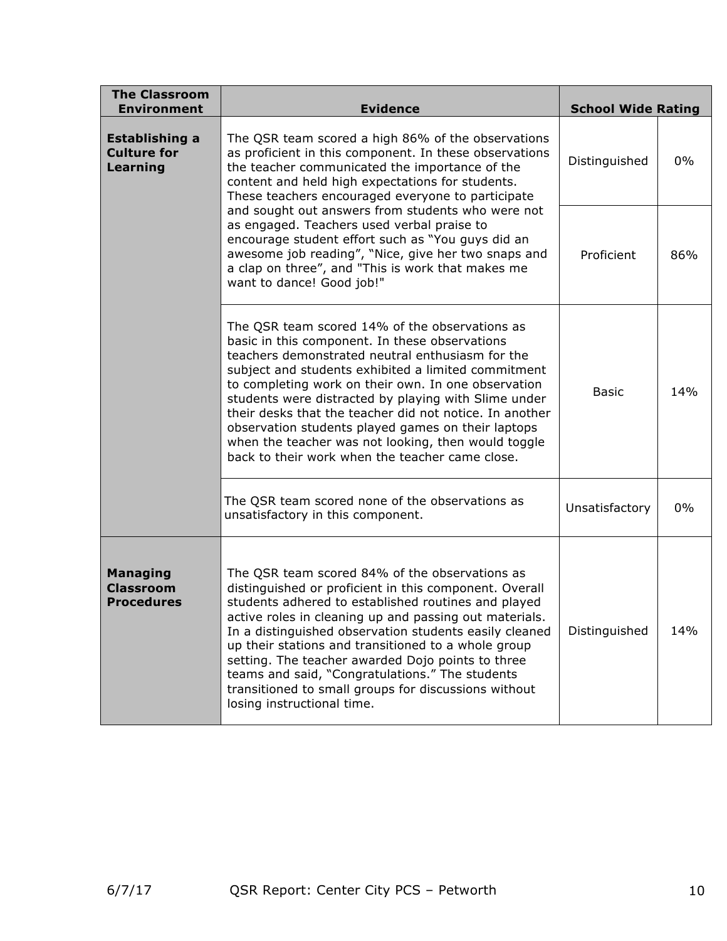| <b>The Classroom</b><br><b>Environment</b>                                                                                                                                                                                                                                                                                                                                                                                                                                                                                                                                                                                          | <b>Evidence</b>                                                                                                                                                                                                                                                                                                                                                                                                                                                                                                                                       | <b>School Wide Rating</b> |       |
|-------------------------------------------------------------------------------------------------------------------------------------------------------------------------------------------------------------------------------------------------------------------------------------------------------------------------------------------------------------------------------------------------------------------------------------------------------------------------------------------------------------------------------------------------------------------------------------------------------------------------------------|-------------------------------------------------------------------------------------------------------------------------------------------------------------------------------------------------------------------------------------------------------------------------------------------------------------------------------------------------------------------------------------------------------------------------------------------------------------------------------------------------------------------------------------------------------|---------------------------|-------|
| The QSR team scored a high 86% of the observations<br><b>Establishing a</b><br><b>Culture for</b><br>as proficient in this component. In these observations<br>Learning<br>the teacher communicated the importance of the<br>content and held high expectations for students.<br>These teachers encouraged everyone to participate<br>and sought out answers from students who were not<br>as engaged. Teachers used verbal praise to<br>encourage student effort such as "You guys did an<br>awesome job reading", "Nice, give her two snaps and<br>a clap on three", and "This is work that makes me<br>want to dance! Good job!" |                                                                                                                                                                                                                                                                                                                                                                                                                                                                                                                                                       | Distinguished             | $0\%$ |
|                                                                                                                                                                                                                                                                                                                                                                                                                                                                                                                                                                                                                                     | Proficient                                                                                                                                                                                                                                                                                                                                                                                                                                                                                                                                            | 86%                       |       |
|                                                                                                                                                                                                                                                                                                                                                                                                                                                                                                                                                                                                                                     | The QSR team scored 14% of the observations as<br>basic in this component. In these observations<br>teachers demonstrated neutral enthusiasm for the<br>subject and students exhibited a limited commitment<br>to completing work on their own. In one observation<br>students were distracted by playing with Slime under<br>their desks that the teacher did not notice. In another<br>observation students played games on their laptops<br>when the teacher was not looking, then would toggle<br>back to their work when the teacher came close. | <b>Basic</b>              | 14%   |
|                                                                                                                                                                                                                                                                                                                                                                                                                                                                                                                                                                                                                                     | The QSR team scored none of the observations as<br>unsatisfactory in this component.                                                                                                                                                                                                                                                                                                                                                                                                                                                                  | Unsatisfactory            | $0\%$ |
| <b>Managing</b><br><b>Classroom</b><br><b>Procedures</b>                                                                                                                                                                                                                                                                                                                                                                                                                                                                                                                                                                            | The QSR team scored 84% of the observations as<br>distinguished or proficient in this component. Overall<br>students adhered to established routines and played<br>active roles in cleaning up and passing out materials.<br>In a distinguished observation students easily cleaned<br>up their stations and transitioned to a whole group<br>setting. The teacher awarded Dojo points to three<br>teams and said, "Congratulations." The students<br>transitioned to small groups for discussions without<br>losing instructional time.              | Distinguished             | 14%   |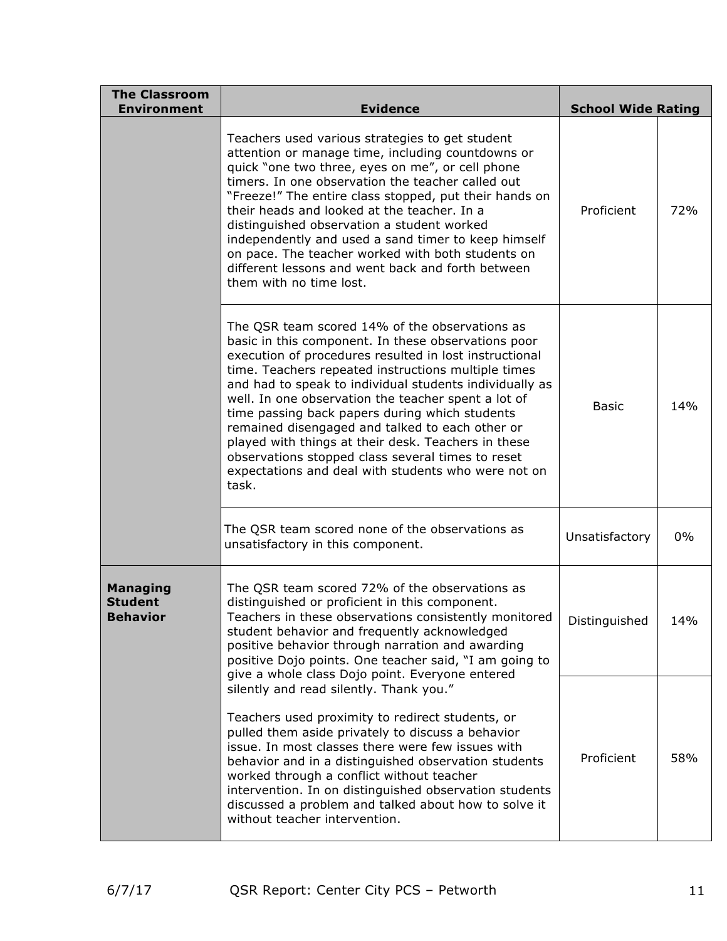| <b>The Classroom</b><br><b>Environment</b>           | <b>Evidence</b>                                                                                                                                                                                                                                                                                                                                                                                                                                                                                                                                                                                                           | <b>School Wide Rating</b> |       |
|------------------------------------------------------|---------------------------------------------------------------------------------------------------------------------------------------------------------------------------------------------------------------------------------------------------------------------------------------------------------------------------------------------------------------------------------------------------------------------------------------------------------------------------------------------------------------------------------------------------------------------------------------------------------------------------|---------------------------|-------|
|                                                      | Teachers used various strategies to get student<br>attention or manage time, including countdowns or<br>quick "one two three, eyes on me", or cell phone<br>timers. In one observation the teacher called out<br>"Freeze!" The entire class stopped, put their hands on<br>their heads and looked at the teacher. In a<br>distinguished observation a student worked<br>independently and used a sand timer to keep himself<br>on pace. The teacher worked with both students on<br>different lessons and went back and forth between<br>them with no time lost.                                                          | Proficient                | 72%   |
|                                                      | The QSR team scored 14% of the observations as<br>basic in this component. In these observations poor<br>execution of procedures resulted in lost instructional<br>time. Teachers repeated instructions multiple times<br>and had to speak to individual students individually as<br>well. In one observation the teacher spent a lot of<br>time passing back papers during which students<br>remained disengaged and talked to each other or<br>played with things at their desk. Teachers in these<br>observations stopped class several times to reset<br>expectations and deal with students who were not on<br>task. | <b>Basic</b>              | 14%   |
|                                                      | The QSR team scored none of the observations as<br>unsatisfactory in this component.                                                                                                                                                                                                                                                                                                                                                                                                                                                                                                                                      | Unsatisfactory            | $0\%$ |
| <b>Managing</b><br><b>Student</b><br><b>Behavior</b> | The QSR team scored 72% of the observations as<br>distinguished or proficient in this component.<br>Teachers in these observations consistently monitored<br>student behavior and frequently acknowledged<br>positive behavior through narration and awarding<br>positive Dojo points. One teacher said, "I am going to<br>give a whole class Dojo point. Everyone entered                                                                                                                                                                                                                                                | Distinguished             | 14%   |
|                                                      | silently and read silently. Thank you."<br>Teachers used proximity to redirect students, or<br>pulled them aside privately to discuss a behavior<br>issue. In most classes there were few issues with<br>behavior and in a distinguished observation students<br>worked through a conflict without teacher<br>intervention. In on distinguished observation students<br>discussed a problem and talked about how to solve it<br>without teacher intervention.                                                                                                                                                             | Proficient                | 58%   |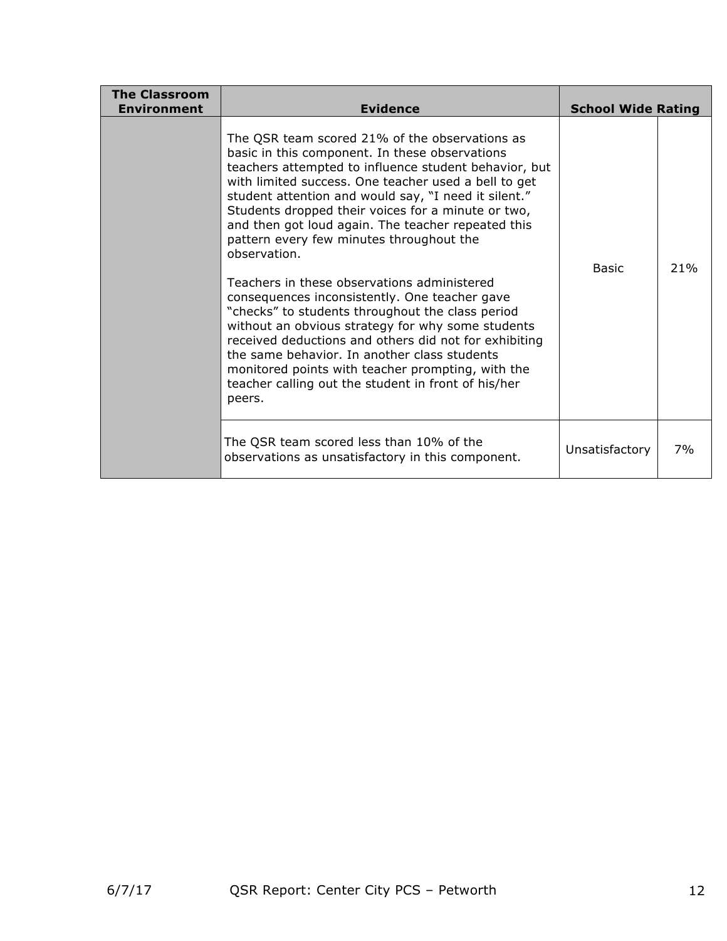| <b>The Classroom</b><br><b>Environment</b> | <b>Evidence</b>                                                                                                                                                                                                                                                                                                                                                                                                                                                                                                                                                                                                                                                                                                                                                                                                                                                                           | <b>School Wide Rating</b> |     |
|--------------------------------------------|-------------------------------------------------------------------------------------------------------------------------------------------------------------------------------------------------------------------------------------------------------------------------------------------------------------------------------------------------------------------------------------------------------------------------------------------------------------------------------------------------------------------------------------------------------------------------------------------------------------------------------------------------------------------------------------------------------------------------------------------------------------------------------------------------------------------------------------------------------------------------------------------|---------------------------|-----|
|                                            | The QSR team scored 21% of the observations as<br>basic in this component. In these observations<br>teachers attempted to influence student behavior, but<br>with limited success. One teacher used a bell to get<br>student attention and would say, "I need it silent."<br>Students dropped their voices for a minute or two,<br>and then got loud again. The teacher repeated this<br>pattern every few minutes throughout the<br>observation.<br>Teachers in these observations administered<br>consequences inconsistently. One teacher gave<br>"checks" to students throughout the class period<br>without an obvious strategy for why some students<br>received deductions and others did not for exhibiting<br>the same behavior. In another class students<br>monitored points with teacher prompting, with the<br>teacher calling out the student in front of his/her<br>peers. | Basic                     | 21% |
|                                            | The QSR team scored less than 10% of the<br>observations as unsatisfactory in this component.                                                                                                                                                                                                                                                                                                                                                                                                                                                                                                                                                                                                                                                                                                                                                                                             | Unsatisfactory            | 7%  |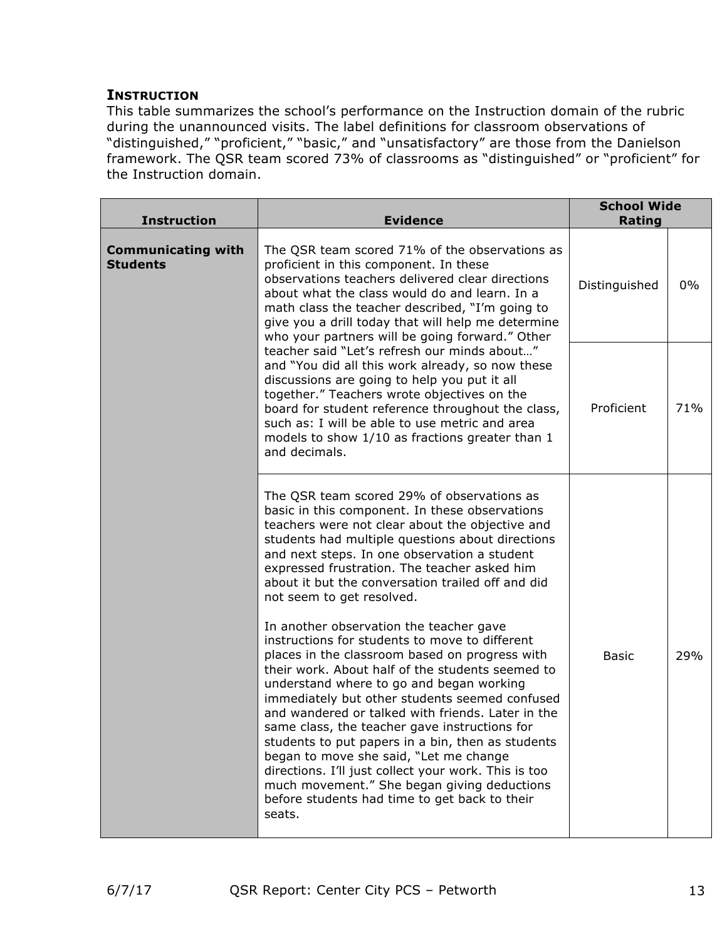### **INSTRUCTION**

This table summarizes the school's performance on the Instruction domain of the rubric during the unannounced visits. The label definitions for classroom observations of "distinguished," "proficient," "basic," and "unsatisfactory" are those from the Danielson framework. The QSR team scored 73% of classrooms as "distinguished" or "proficient" for the Instruction domain.

| <b>Instruction</b>                           | <b>Evidence</b>                                                                                                                                                                                                                                                                                                                                                                                                                                                                                                                                                                                                                                                                                                                         | <b>School Wide</b><br>Rating |       |
|----------------------------------------------|-----------------------------------------------------------------------------------------------------------------------------------------------------------------------------------------------------------------------------------------------------------------------------------------------------------------------------------------------------------------------------------------------------------------------------------------------------------------------------------------------------------------------------------------------------------------------------------------------------------------------------------------------------------------------------------------------------------------------------------------|------------------------------|-------|
| <b>Communicating with</b><br><b>Students</b> | The QSR team scored 71% of the observations as<br>proficient in this component. In these<br>observations teachers delivered clear directions<br>about what the class would do and learn. In a<br>math class the teacher described, "I'm going to<br>give you a drill today that will help me determine<br>who your partners will be going forward." Other<br>teacher said "Let's refresh our minds about"<br>and "You did all this work already, so now these<br>discussions are going to help you put it all<br>together." Teachers wrote objectives on the<br>board for student reference throughout the class,<br>such as: I will be able to use metric and area<br>models to show 1/10 as fractions greater than 1<br>and decimals. | Distinguished                | $0\%$ |
|                                              |                                                                                                                                                                                                                                                                                                                                                                                                                                                                                                                                                                                                                                                                                                                                         | Proficient                   | 71%   |
|                                              | The QSR team scored 29% of observations as<br>basic in this component. In these observations<br>teachers were not clear about the objective and<br>students had multiple questions about directions<br>and next steps. In one observation a student<br>expressed frustration. The teacher asked him<br>about it but the conversation trailed off and did<br>not seem to get resolved.                                                                                                                                                                                                                                                                                                                                                   |                              |       |
|                                              | In another observation the teacher gave<br>instructions for students to move to different<br>places in the classroom based on progress with<br>their work. About half of the students seemed to<br>understand where to go and began working<br>immediately but other students seemed confused<br>and wandered or talked with friends. Later in the<br>same class, the teacher gave instructions for<br>students to put papers in a bin, then as students<br>began to move she said, "Let me change<br>directions. I'll just collect your work. This is too<br>much movement." She began giving deductions<br>before students had time to get back to their<br>seats.                                                                    | <b>Basic</b>                 | 29%   |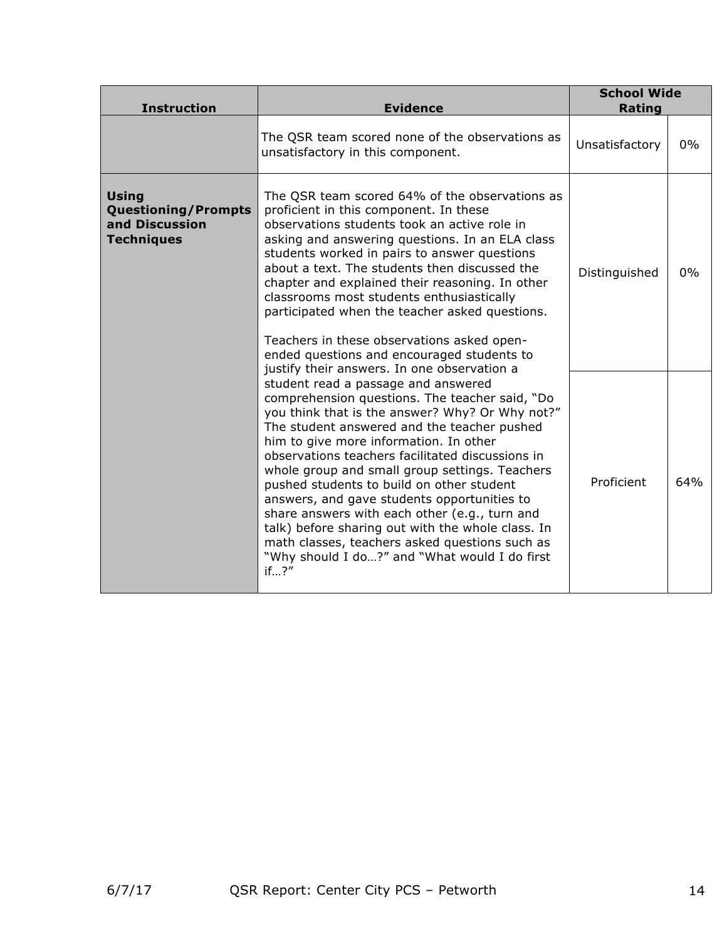| <b>Instruction</b>                                                                | <b>Evidence</b>                                                                                                                                                                                                                                                                                                                                                                                                                                                                                                                                                                                                                                       | <b>School Wide</b><br>Rating |       |
|-----------------------------------------------------------------------------------|-------------------------------------------------------------------------------------------------------------------------------------------------------------------------------------------------------------------------------------------------------------------------------------------------------------------------------------------------------------------------------------------------------------------------------------------------------------------------------------------------------------------------------------------------------------------------------------------------------------------------------------------------------|------------------------------|-------|
|                                                                                   | The QSR team scored none of the observations as<br>unsatisfactory in this component.                                                                                                                                                                                                                                                                                                                                                                                                                                                                                                                                                                  | Unsatisfactory               | $0\%$ |
| <b>Using</b><br><b>Questioning/Prompts</b><br>and Discussion<br><b>Techniques</b> | The QSR team scored 64% of the observations as<br>proficient in this component. In these<br>observations students took an active role in<br>asking and answering questions. In an ELA class<br>students worked in pairs to answer questions<br>about a text. The students then discussed the<br>chapter and explained their reasoning. In other<br>classrooms most students enthusiastically<br>participated when the teacher asked questions.<br>Teachers in these observations asked open-<br>ended questions and encouraged students to<br>justify their answers. In one observation a                                                             | Distinguished                | 0%    |
|                                                                                   | student read a passage and answered<br>comprehension questions. The teacher said, "Do<br>you think that is the answer? Why? Or Why not?"<br>The student answered and the teacher pushed<br>him to give more information. In other<br>observations teachers facilitated discussions in<br>whole group and small group settings. Teachers<br>pushed students to build on other student<br>answers, and gave students opportunities to<br>share answers with each other (e.g., turn and<br>talk) before sharing out with the whole class. In<br>math classes, teachers asked questions such as<br>"Why should I do?" and "What would I do first<br>if?'' | Proficient                   | 64%   |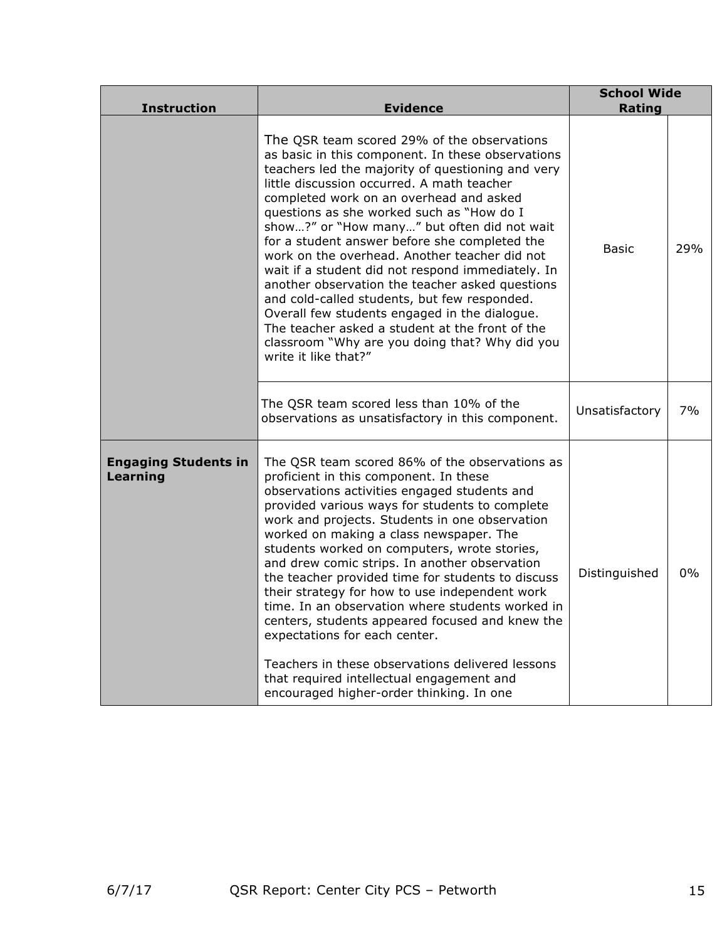| <b>Instruction</b>                      | <b>Evidence</b>                                                                                                                                                                                                                                                                                                                                                                                                                                                                                                                                                                                                                                                                                                                                                                      | <b>School Wide</b><br>Rating |     |
|-----------------------------------------|--------------------------------------------------------------------------------------------------------------------------------------------------------------------------------------------------------------------------------------------------------------------------------------------------------------------------------------------------------------------------------------------------------------------------------------------------------------------------------------------------------------------------------------------------------------------------------------------------------------------------------------------------------------------------------------------------------------------------------------------------------------------------------------|------------------------------|-----|
|                                         | The QSR team scored 29% of the observations<br>as basic in this component. In these observations<br>teachers led the majority of questioning and very<br>little discussion occurred. A math teacher<br>completed work on an overhead and asked<br>questions as she worked such as "How do I<br>show?" or "How many" but often did not wait<br>for a student answer before she completed the<br>work on the overhead. Another teacher did not<br>wait if a student did not respond immediately. In<br>another observation the teacher asked questions<br>and cold-called students, but few responded.<br>Overall few students engaged in the dialogue.<br>The teacher asked a student at the front of the<br>classroom "Why are you doing that? Why did you<br>write it like that?"   | <b>Basic</b>                 | 29% |
|                                         | The QSR team scored less than 10% of the<br>observations as unsatisfactory in this component.                                                                                                                                                                                                                                                                                                                                                                                                                                                                                                                                                                                                                                                                                        | Unsatisfactory               | 7%  |
| <b>Engaging Students in</b><br>Learning | The QSR team scored 86% of the observations as<br>proficient in this component. In these<br>observations activities engaged students and<br>provided various ways for students to complete<br>work and projects. Students in one observation<br>worked on making a class newspaper. The<br>students worked on computers, wrote stories,<br>and drew comic strips. In another observation<br>the teacher provided time for students to discuss<br>their strategy for how to use independent work<br>time. In an observation where students worked in<br>centers, students appeared focused and knew the<br>expectations for each center.<br>Teachers in these observations delivered lessons<br>that required intellectual engagement and<br>encouraged higher-order thinking. In one | Distinguished                | 0%  |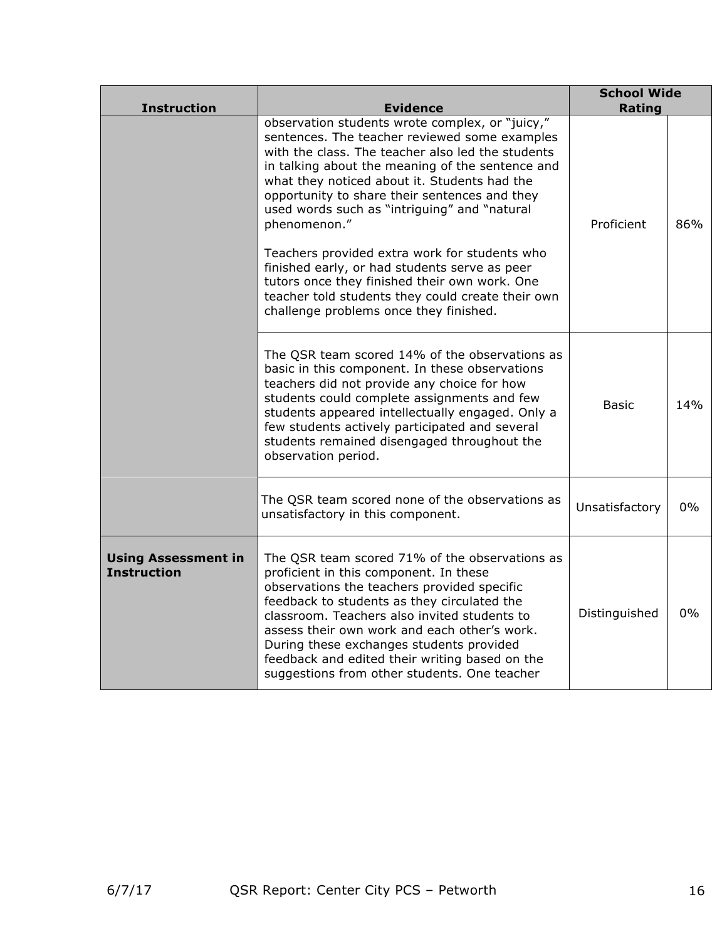| <b>Instruction</b>                               | <b>Evidence</b>                                                                                                                                                                                                                                                                                                                                                                                                                                                                                                                                                                                                              | <b>School Wide</b><br>Rating |     |
|--------------------------------------------------|------------------------------------------------------------------------------------------------------------------------------------------------------------------------------------------------------------------------------------------------------------------------------------------------------------------------------------------------------------------------------------------------------------------------------------------------------------------------------------------------------------------------------------------------------------------------------------------------------------------------------|------------------------------|-----|
|                                                  | observation students wrote complex, or "juicy,"<br>sentences. The teacher reviewed some examples<br>with the class. The teacher also led the students<br>in talking about the meaning of the sentence and<br>what they noticed about it. Students had the<br>opportunity to share their sentences and they<br>used words such as "intriguing" and "natural<br>phenomenon."<br>Teachers provided extra work for students who<br>finished early, or had students serve as peer<br>tutors once they finished their own work. One<br>teacher told students they could create their own<br>challenge problems once they finished. | Proficient                   | 86% |
|                                                  | The QSR team scored 14% of the observations as<br>basic in this component. In these observations<br>teachers did not provide any choice for how<br>students could complete assignments and few<br>students appeared intellectually engaged. Only a<br>few students actively participated and several<br>students remained disengaged throughout the<br>observation period.                                                                                                                                                                                                                                                   | Basic                        | 14% |
|                                                  | The QSR team scored none of the observations as<br>unsatisfactory in this component.                                                                                                                                                                                                                                                                                                                                                                                                                                                                                                                                         | Unsatisfactory               | 0%  |
| <b>Using Assessment in</b><br><b>Instruction</b> | The QSR team scored 71% of the observations as<br>proficient in this component. In these<br>observations the teachers provided specific<br>feedback to students as they circulated the<br>classroom. Teachers also invited students to<br>assess their own work and each other's work.<br>During these exchanges students provided<br>feedback and edited their writing based on the<br>suggestions from other students. One teacher                                                                                                                                                                                         | Distinguished                | 0%  |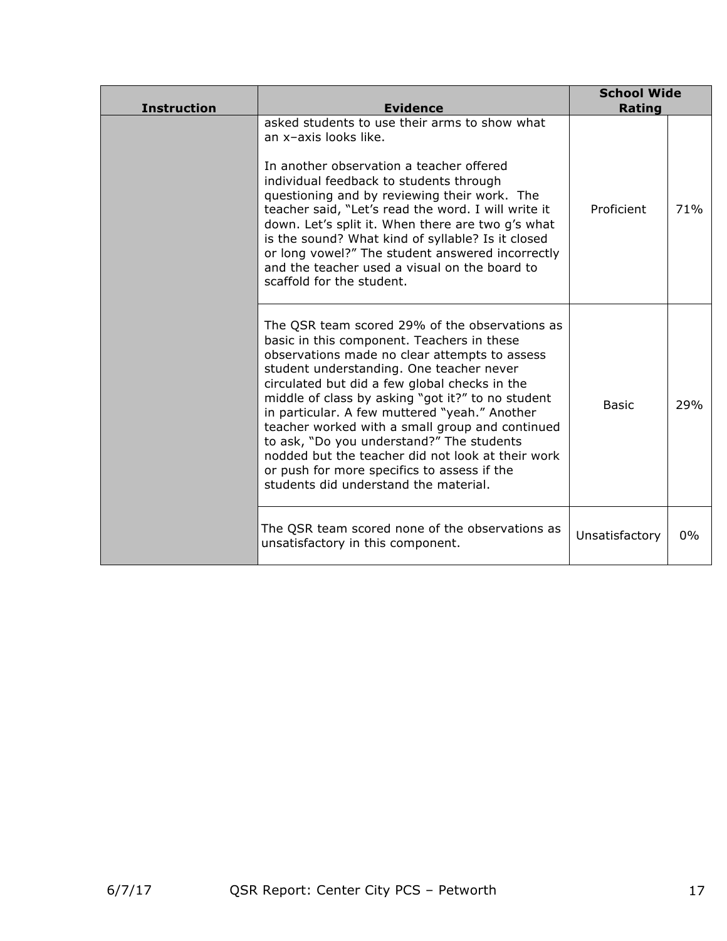| <b>Instruction</b> | <b>Evidence</b>                                                                                                                                                                                                                                                                                                                                                                                                                                                                                                                                                                               | <b>School Wide</b><br>Rating |     |
|--------------------|-----------------------------------------------------------------------------------------------------------------------------------------------------------------------------------------------------------------------------------------------------------------------------------------------------------------------------------------------------------------------------------------------------------------------------------------------------------------------------------------------------------------------------------------------------------------------------------------------|------------------------------|-----|
|                    | asked students to use their arms to show what<br>an x-axis looks like.<br>In another observation a teacher offered<br>individual feedback to students through<br>questioning and by reviewing their work. The<br>teacher said, "Let's read the word. I will write it<br>down. Let's split it. When there are two g's what<br>is the sound? What kind of syllable? Is it closed<br>or long vowel?" The student answered incorrectly<br>and the teacher used a visual on the board to<br>scaffold for the student.                                                                              | Proficient                   | 71% |
|                    | The QSR team scored 29% of the observations as<br>basic in this component. Teachers in these<br>observations made no clear attempts to assess<br>student understanding. One teacher never<br>circulated but did a few global checks in the<br>middle of class by asking "got it?" to no student<br>in particular. A few muttered "yeah." Another<br>teacher worked with a small group and continued<br>to ask, "Do you understand?" The students<br>nodded but the teacher did not look at their work<br>or push for more specifics to assess if the<br>students did understand the material. | <b>Basic</b>                 | 29% |
|                    | The QSR team scored none of the observations as<br>unsatisfactory in this component.                                                                                                                                                                                                                                                                                                                                                                                                                                                                                                          | Unsatisfactory               | 0%  |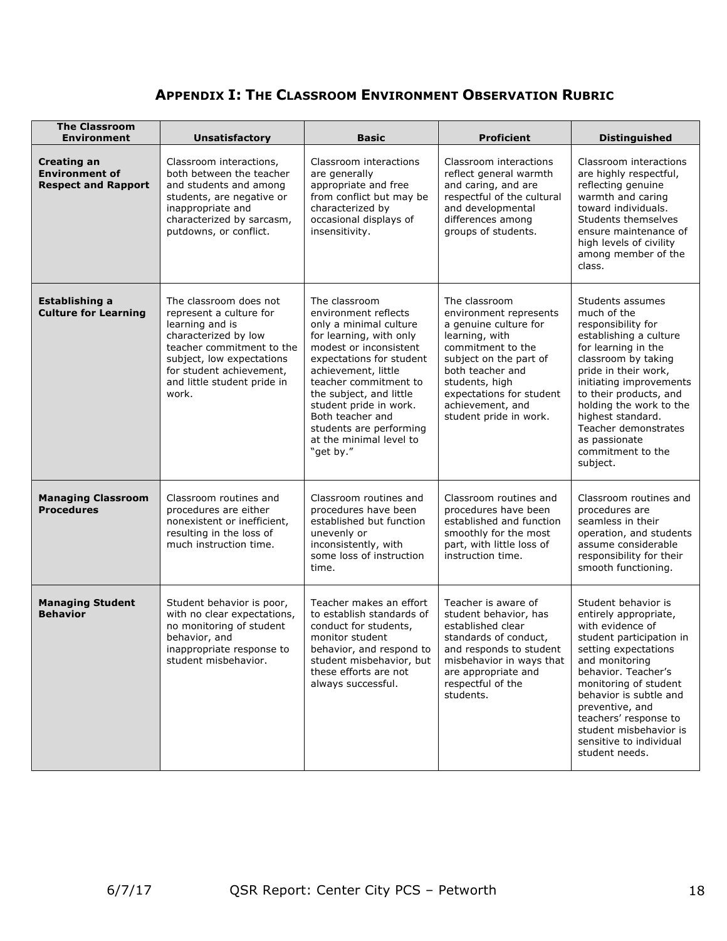# **APPENDIX I: THE CLASSROOM ENVIRONMENT OBSERVATION RUBRIC**

| <b>The Classroom</b><br><b>Environment</b>                         | <b>Unsatisfactory</b>                                                                                                                                                                                                      | <b>Basic</b>                                                                                                                                                                                                                                                                                                                                 | <b>Proficient</b>                                                                                                                                                                                                                                 | <b>Distinguished</b>                                                                                                                                                                                                                                                                                                                 |
|--------------------------------------------------------------------|----------------------------------------------------------------------------------------------------------------------------------------------------------------------------------------------------------------------------|----------------------------------------------------------------------------------------------------------------------------------------------------------------------------------------------------------------------------------------------------------------------------------------------------------------------------------------------|---------------------------------------------------------------------------------------------------------------------------------------------------------------------------------------------------------------------------------------------------|--------------------------------------------------------------------------------------------------------------------------------------------------------------------------------------------------------------------------------------------------------------------------------------------------------------------------------------|
| Creating an<br><b>Environment of</b><br><b>Respect and Rapport</b> | Classroom interactions,<br>both between the teacher<br>and students and among<br>students, are negative or<br>inappropriate and<br>characterized by sarcasm,<br>putdowns, or conflict.                                     | Classroom interactions<br>are generally<br>appropriate and free<br>from conflict but may be<br>characterized by<br>occasional displays of<br>insensitivity.                                                                                                                                                                                  | Classroom interactions<br>reflect general warmth<br>and caring, and are<br>respectful of the cultural<br>and developmental<br>differences among<br>groups of students.                                                                            | Classroom interactions<br>are highly respectful,<br>reflecting genuine<br>warmth and caring<br>toward individuals.<br>Students themselves<br>ensure maintenance of<br>high levels of civility<br>among member of the<br>class.                                                                                                       |
| <b>Establishing a</b><br><b>Culture for Learning</b>               | The classroom does not<br>represent a culture for<br>learning and is<br>characterized by low<br>teacher commitment to the<br>subject, low expectations<br>for student achievement,<br>and little student pride in<br>work. | The classroom<br>environment reflects<br>only a minimal culture<br>for learning, with only<br>modest or inconsistent<br>expectations for student<br>achievement, little<br>teacher commitment to<br>the subject, and little<br>student pride in work.<br>Both teacher and<br>students are performing<br>at the minimal level to<br>"get by." | The classroom<br>environment represents<br>a genuine culture for<br>learning, with<br>commitment to the<br>subject on the part of<br>both teacher and<br>students, high<br>expectations for student<br>achievement, and<br>student pride in work. | Students assumes<br>much of the<br>responsibility for<br>establishing a culture<br>for learning in the<br>classroom by taking<br>pride in their work,<br>initiating improvements<br>to their products, and<br>holding the work to the<br>highest standard.<br>Teacher demonstrates<br>as passionate<br>commitment to the<br>subject. |
| <b>Managing Classroom</b><br><b>Procedures</b>                     | Classroom routines and<br>procedures are either<br>nonexistent or inefficient,<br>resulting in the loss of<br>much instruction time.                                                                                       | Classroom routines and<br>procedures have been<br>established but function<br>unevenly or<br>inconsistently, with<br>some loss of instruction<br>time.                                                                                                                                                                                       | Classroom routines and<br>procedures have been<br>established and function<br>smoothly for the most<br>part, with little loss of<br>instruction time.                                                                                             | Classroom routines and<br>procedures are<br>seamless in their<br>operation, and students<br>assume considerable<br>responsibility for their<br>smooth functioning.                                                                                                                                                                   |
| <b>Managing Student</b><br><b>Behavior</b>                         | Student behavior is poor,<br>with no clear expectations,<br>no monitoring of student<br>behavior, and<br>inappropriate response to<br>student misbehavior.                                                                 | Teacher makes an effort<br>to establish standards of<br>conduct for students,<br>monitor student<br>behavior, and respond to<br>student misbehavior, but<br>these efforts are not<br>always successful.                                                                                                                                      | Teacher is aware of<br>student behavior, has<br>established clear<br>standards of conduct,<br>and responds to student<br>misbehavior in ways that<br>are appropriate and<br>respectful of the<br>students.                                        | Student behavior is<br>entirely appropriate,<br>with evidence of<br>student participation in<br>setting expectations<br>and monitoring<br>behavior. Teacher's<br>monitoring of student<br>behavior is subtle and<br>preventive, and<br>teachers' response to<br>student misbehavior is<br>sensitive to individual<br>student needs.  |